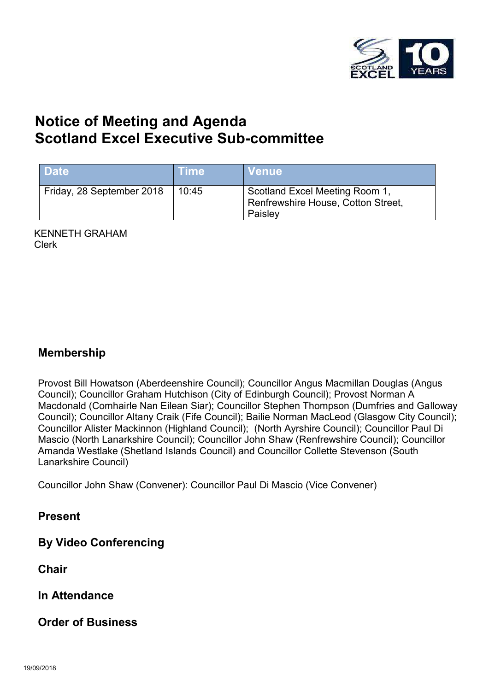

# **Notice of Meeting and Agenda Scotland Excel Executive Sub-committee**

| <b>Date</b>               | ⊾Time\ | <b>Venue</b>                                                                    |  |
|---------------------------|--------|---------------------------------------------------------------------------------|--|
| Friday, 28 September 2018 | 10:45  | Scotland Excel Meeting Room 1,<br>Renfrewshire House, Cotton Street,<br>Paisley |  |

KENNETH GRAHAM Clerk

#### **Membership**

Provost Bill Howatson (Aberdeenshire Council); Councillor Angus Macmillan Douglas (Angus Council); Councillor Graham Hutchison (City of Edinburgh Council); Provost Norman A Macdonald (Comhairle Nan Eilean Siar); Councillor Stephen Thompson (Dumfries and Galloway Council); Councillor Altany Craik (Fife Council); Bailie Norman MacLeod (Glasgow City Council); Councillor Alister Mackinnon (Highland Council); (North Ayrshire Council); Councillor Paul Di Mascio (North Lanarkshire Council); Councillor John Shaw (Renfrewshire Council); Councillor Amanda Westlake (Shetland Islands Council) and Councillor Collette Stevenson (South Lanarkshire Council)

Councillor John Shaw (Convener): Councillor Paul Di Mascio (Vice Convener)

**Present** 

**By Video Conferencing** 

**Chair** 

**In Attendance** 

**Order of Business**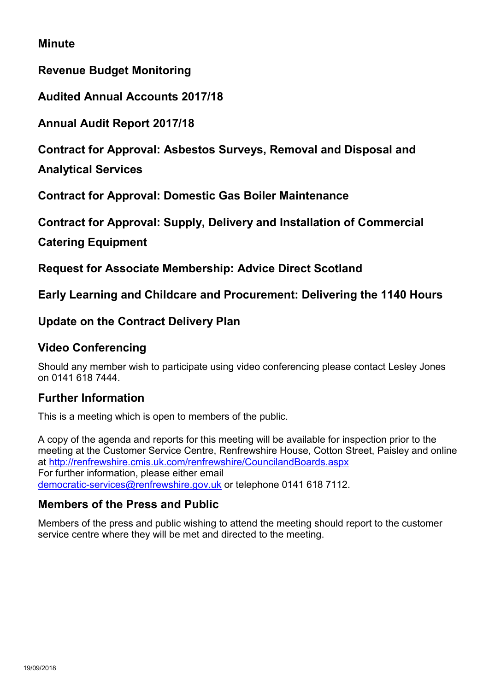#### **Minute**

**Revenue Budget Monitoring** 

**Audited Annual Accounts 2017/18** 

**Annual Audit Report 2017/18** 

**Contract for Approval: Asbestos Surveys, Removal and Disposal and** 

**Analytical Services** 

**Contract for Approval: Domestic Gas Boiler Maintenance** 

**Contract for Approval: Supply, Delivery and Installation of Commercial** 

**Catering Equipment** 

**Request for Associate Membership: Advice Direct Scotland** 

**Early Learning and Childcare and Procurement: Delivering the 1140 Hours**

#### **Update on the Contract Delivery Plan**

#### **Video Conferencing**

Should any member wish to participate using video conferencing please contact Lesley Jones on 0141 618 7444.

#### **Further Information**

This is a meeting which is open to members of the public.

A copy of the agenda and reports for this meeting will be available for inspection prior to the meeting at the Customer Service Centre, Renfrewshire House, Cotton Street, Paisley and online at <http://renfrewshire.cmis.uk.com/renfrewshire/CouncilandBoards.aspx> For further information, please either email [democratic-services@renfrewshire.gov.uk](mailto:democratic-services@renfrewshire.gov.uk) or telephone 0141 618 7112.

#### **Members of the Press and Public**

Members of the press and public wishing to attend the meeting should report to the customer service centre where they will be met and directed to the meeting.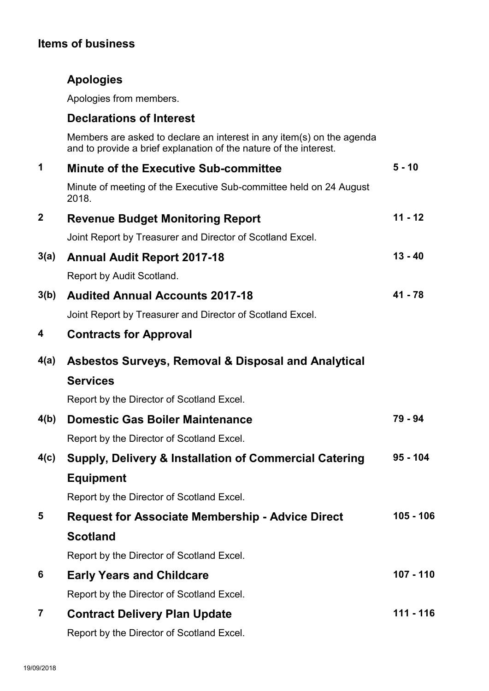### **Items of business**

## **Apologies**

Apologies from members.

#### **Declarations of Interest**

Members are asked to declare an interest in any item(s) on the agenda and to provide a brief explanation of the nature of the interest.

| $\mathbf 1$  | <b>Minute of the Executive Sub-committee</b>                                | $5 - 10$    |  |
|--------------|-----------------------------------------------------------------------------|-------------|--|
|              | Minute of meeting of the Executive Sub-committee held on 24 August<br>2018. |             |  |
| $\mathbf{2}$ | <b>Revenue Budget Monitoring Report</b>                                     | $11 - 12$   |  |
|              | Joint Report by Treasurer and Director of Scotland Excel.                   |             |  |
| 3(a)         | <b>Annual Audit Report 2017-18</b>                                          | $13 - 40$   |  |
|              | Report by Audit Scotland.                                                   |             |  |
| 3(b)         | <b>Audited Annual Accounts 2017-18</b>                                      | $41 - 78$   |  |
|              | Joint Report by Treasurer and Director of Scotland Excel.                   |             |  |
| 4            | <b>Contracts for Approval</b>                                               |             |  |
| 4(a)         | <b>Asbestos Surveys, Removal &amp; Disposal and Analytical</b>              |             |  |
|              | <b>Services</b>                                                             |             |  |
|              | Report by the Director of Scotland Excel.                                   |             |  |
| 4(b)         | <b>Domestic Gas Boiler Maintenance</b>                                      | 79 - 94     |  |
|              | Report by the Director of Scotland Excel.                                   |             |  |
| 4(c)         | <b>Supply, Delivery &amp; Installation of Commercial Catering</b>           | $95 - 104$  |  |
|              | <b>Equipment</b>                                                            |             |  |
|              | Report by the Director of Scotland Excel.                                   |             |  |
| 5            | <b>Request for Associate Membership - Advice Direct</b>                     | $105 - 106$ |  |
|              | <b>Scotland</b>                                                             |             |  |
|              | Report by the Director of Scotland Excel.                                   |             |  |
| 6            | <b>Early Years and Childcare</b>                                            | $107 - 110$ |  |
|              | Report by the Director of Scotland Excel.                                   |             |  |
| 7            | <b>Contract Delivery Plan Update</b>                                        | 111 - 116   |  |
|              | Report by the Director of Scotland Excel.                                   |             |  |